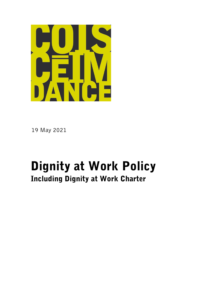

19 May 2021

# Dignity at Work Policy Including Dignity at Work Charter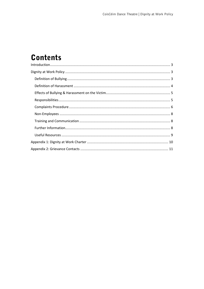## **Contents**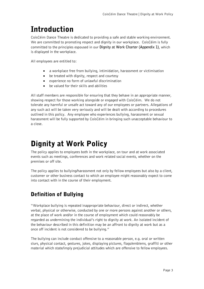## <span id="page-2-0"></span>Introduction

CoisCéim Dance Theatre is dedicated to providing a safe and stable working environment. We are committed to promoting respect and dignity in our workplace. CoisCéim is fully committed to the principles espoused in our **Dignity at Work Charter (Appendix 1)**, which is displayed in the workplace.

All employees are entitled to:

- a workplace free from bullying, intimidation, harassment or victimisation
- be treated with dignity, respect and courtesy
- experience no form of unlawful discrimination
- be valued for their skills and abilities

All staff members are responsible for ensuring that they behave in an appropriate manner, showing respect for those working alongside or engaged with CoisCéim. We do not tolerate any harmful or unsafe act toward any of our employees or partners. Allegations of any such act will be taken very seriously and will be dealt with according to procedures outlined in this policy. Any employee who experiences bullying, harassment or sexual harassment will be fully supported by CoisCéim in bringing such unacceptable behaviour to a close.

## <span id="page-2-1"></span>Dignity at Work Policy

The policy applies to employees both in the workplace, on tour and at work associated events such as meetings, conferences and work related social events, whether on the premises or off site.

The policy applies to bullying/harassment not only by fellow employees but also by a client, customer or other business contact to which an employee might reasonably expect to come into contact with in the course of their employment.

## <span id="page-2-2"></span>Definition of Bullying

"Workplace bullying is repeated inappropriate behaviour, direct or indirect, whether verbal, physical or otherwise, conducted by one or more persons against another or others, at the place of work and/or in the course of employment which could reasonably be regarded as undermining the individual's right to dignity at work. An isolated incident of the behaviour described in this definition may be an affront to dignity at work but as a once off incident is not considered to be bullying."

The bullying can include conduct offensive to a reasonable person, e.g. oral or written slurs, physical contact, gestures, jokes, displaying pictures, flags/emblems, graffiti or other material which state/imply prejudicial attitudes which are offensive to fellow employees.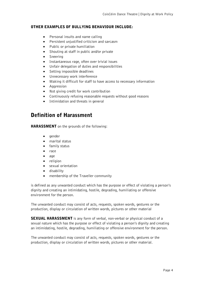#### OTHER EXAMPLES OF BULLYING BEHAVIOUR INCLUDE:

- Personal insults and name calling
- Persistent unjustified criticism and sarcasm
- Public or private humiliation
- Shouting at staff in public and/or private
- Sneering
- Instantaneous rage, often over trivial issues
- Unfair delegation of duties and responsibilities
- Setting impossible deadlines
- Unnecessary work interference
- Making it difficult for staff to have access to necessary information
- Aggression
- Not giving credit for work contribution
- Continuously refusing reasonable requests without good reasons
- Intimidation and threats in general

## <span id="page-3-0"></span>Definition of Harassment

HARASSMENT on the grounds of the following:

- gender
- marital status
- family status
- race
- age
- religion
- sexual orientation
- disability
- membership of the Traveller community

is defined as any unwanted conduct which has the purpose or effect of violating a person's dignity and creating an intimidating, hostile, degrading, humiliating or offensive environment for the person.

The unwanted conduct may consist of acts, requests, spoken words, gestures or the production, display or circulation of written words, pictures or other material

**SEXUAL HARASSMENT** is any form of verbal, non-verbal or physical conduct of a sexual nature which has the purpose or effect of violating a person's dignity and creating an intimidating, hostile, degrading, humiliating or offensive environment for the person.

The unwanted conduct may consist of acts, requests, spoken words, gestures or the production, display or circulation of written words, pictures or other material.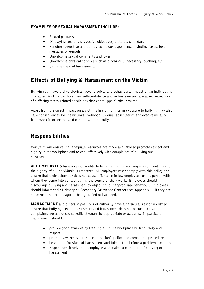#### EXAMPLES OF SEXUAL HARASSMENT INCLUDE:

- Sexual gestures
- Displaying sexually suggestive objectives, pictures, calendars
- Sending suggestive and pornographic correspondence including faxes, text messages or e-mails
- Unwelcome sexual comments and jokes
- Unwelcome physical conduct such as pinching, unnecessary touching, etc.
- Same sex sexual harassment.

## <span id="page-4-0"></span>Effects of Bullying & Harassment on the Victim

Bullying can have a physiological, psychological and behavioural impact on an individual's character. Victims can lose their self-confidence and self-esteem and are at increased risk of suffering stress-related conditions that can trigger further trauma.

Apart from the direct impact on a victim's health, long-term exposure to bullying may also have consequences for the victim's livelihood, through absenteeism and even resignation from work in order to avoid contact with the bully.

### <span id="page-4-1"></span>Responsibilities

CoisCéim will ensure that adequate resources are made available to promote respect and dignity in the workplace and to deal effectively with complaints of bullying and harassment.

**ALL EMPLOYEES** have a responsibility to help maintain a working environment in which the dignity of all individuals is respected. All employees must comply with this policy and ensure that their behaviour does not cause offense to fellow employees or any person with whom they come into contact during the course of their work. Employees should discourage bullying and harassment by objecting to inappropriate behaviour. Employees should inform their Primary or Secondary Grievance Contact (see Appendix 2) if they are concerned that a colleague is being bullied or harassed.

**MANAGEMENT** and others in positions of authority have a particular responsibility to ensure that bullying, sexual harassment and harassment does not occur and that complaints are addressed speedily through the appropriate procedures. In particular management should:

- provide good example by treating all in the workplace with courtesy and respect
- promote awareness of the organisation's policy and complaints procedures
- be vigilant for signs of harassment and take action before a problem escalates
- respond sensitively to an employee who makes a complaint of bullying or harassment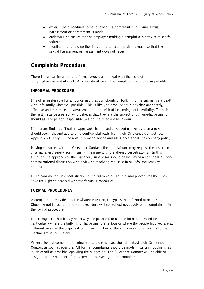- explain the procedures to be followed if a complaint of bullying, sexual harassment or harassment is made
- endeavour to ensure that an employee making a complaint is not victimised for doing so
- monitor and follow up the situation after a complaint is made so that the sexual harassment or harassment does not recur

### <span id="page-5-0"></span>Complaints Procedure

There is both an informal and formal procedure to deal with the issue of bullying/harassment at work. Any investigation will be completed as quickly as possible.

#### INFORMAL PROCEDURE

It is often preferable for all concerned that complaints of bullying or harassment are dealt with informally whenever possible. This is likely to produce solutions that are speedy, effective and minimise embarrassment and the risk of breaching confidentiality. Thus, in the first instance a person who believes that they are the subject of bullying/harassment should ask the person responsible to stop the offensive behaviour.

If a person finds it difficult to approach the alleged perpetrator directly then a person should seek help and advice on a confidential basis from their Grievance Contact (see Appendix 2). They will be able to provide advice and assistance about the company policy.

Having consulted with the Grievance Contact, the complainant may request the assistance of a manager / supervisor in raising the issue with the alleged perpetrator(s). In this situation the approach of the manager / supervisor should be by way of a confidential, nonconfrontational discussion with a view to resolving the issue in an informal low key manner.

If the complainant is dissatisfied with the outcome of the informal procedures then they have the right to proceed with the formal Procedures

#### FORMAL PROCEDURES

A complainant may decide, for whatever reason, to bypass the informal procedure. Choosing not to use the informal procedure will not reflect negatively on a complainant in the formal procedure.

It is recognised that it may not always be practical to use the informal procedure particularly where the bullying or harassment is serious or where the people involved are at different levels in the organisation. In such instances the employee should use the formal mechanism set out below.

When a formal complaint is being made, the employee should contact their Grievance Contact as soon as possible. All formal complaints should be made in writing, outlining as much detail as possible regarding the allegation. The Grievance Contact will be able to assign a senior member of management to investigate the complaint.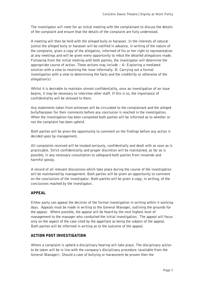The investigator will meet for an initial meeting with the complainant to discuss the details of the complaint and ensure that the details of the complaint are fully understood.

A meeting will then be held with the alleged bully or harasser. In the interests of natural justice the alleged bully or harasser will be notified in advance, in writing of the nature of the complaint, given a copy of the allegation, informed of his or her right to representation at any meetings and will be given every opportunity to rebut the detailed allegations made. Following from the initial meeting with both parties, the investigator will determine the appropriate course of action. These actions may include  $-$  A: Exploring a mediated solution with a view to resolving the issue informally. B: Carrying out a formal investigation with a view to determining the facts and the credibility or otherwise of the allegation(s).

Whilst it is desirable to maintain utmost confidentiality, once an investigation of an issue begins, it may be necessary to interview other staff. If this is so, the importance of confidentiality will be stressed to them.

Any statements taken from witnesses will be circulated to the complainant and the alleged bully/harasser for their comments before any conclusion is reached in the investigation. When the investigation has been completed both parties will be informed as to whether or not the complaint has been upheld.

Both parties will be given the opportunity to comment on the findings before any action is decided upon by management.

All complaints received will be treated seriously, confidentially and dealt with as soon as is practicable. Strict confidentiality and proper discretion will be maintained, as far as is possible, in any necessary consultation to safeguard both parties from innuendo and harmful gossip.

A record of all relevant discussions which take place during the course of the investigation will be maintained by management. Both parties will be given an opportunity to comment on the conclusions of the investigator. Both parties will be given a copy, in writing, of the conclusions reached by the investigator.

#### APPEAL

Either party can appeal the decision of the formal investigation in writing within 5 working days. Appeals must be made in writing to the General Manager, outlining the grounds for the appeal. Where possible, the appeal will be heard by the next highest level of management to the manager who conducted the initial investigation. The appeal will focus only on the aspect of the case cited by the appellant as being the subject of the appeal. Both parties will be informed in writing as to the outcome of the appeal.

#### ACTION POST INVESTIGATION

Where a complaint is upheld a disciplinary hearing will take place. The disciplinary action to be taken will be in line with the company's disciplinary procedure (available from the General Manager). Should a case of bullying or harassment be proven then the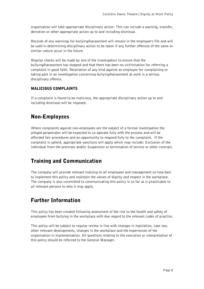organisation will take appropriate disciplinary action. This can include a warning, transfer, demotion or other appropriate action up to and including dismissal.

Records of any warnings for bullying/harassment will remain in the employee's file and will be used in determining disciplinary action to be taken if any further offences of the same or similar nature occur in the future.

Regular checks will be made by one of the investigators to ensure that the bullying/harassment has stopped and that there has been no victimisation for referring a complaint in good faith. Retaliation of any kind against an employee for complaining or taking part in an investigation concerning bullying/harassment at work is a serious disciplinary offence.

#### MALICIOUS COMPLAINTS

If a complaint is found to be malicious, the appropriate disciplinary action up to and including dismissal will be imposed.

### <span id="page-7-0"></span>Non-Employees

Where complaints against non-employees are the subject of a formal investigation the alleged perpetrator will be expected to co-operate fully with the process and will be afforded fair procedures and an opportunity to respond fully to the complaint. If the complaint is upheld, appropriate sanctions will apply which may include: Exclusion of the individual from the premises and/or Suspension or termination of service or other contract.

### <span id="page-7-1"></span>Training and Communication

The company will provide relevant training to all employees and management on how best to implement this policy and maintain the values of dignity and respect in the workplace. The company is also committed to communicating this policy in so far as is practicable to all relevant persons to who it may apply.

## <span id="page-7-2"></span>Further Information

This policy has been created following assessment of the risk to the health and safety of employees from bullying in the workplace with due regard to the relevant codes of practice.

This policy will be subject to regular review in line with changes in legislation, case law, other relevant developments, changes in the workplace and the experiences of the organisation in implementation. All questions relating to the execution or interpretation of this policy should be referred to the General Manager.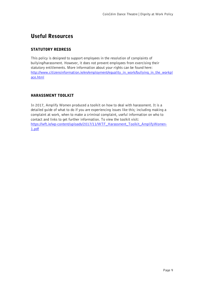## <span id="page-8-0"></span>Useful Resources

#### STATUTORY REDRESS

This policy is designed to support employees in the resolution of complaints of bullying/harassment. However, it does not prevent employees from exercising their statutory entitlements. More information about your rights can be found here: [http://www.citizensinformation.ie/en/employment/equality\\_in\\_work/bullying\\_in\\_the\\_workpl](http://www.citizensinformation.ie/en/employment/equality_in_work/bullying_in_the_workplace.html) [ace.html](http://www.citizensinformation.ie/en/employment/equality_in_work/bullying_in_the_workplace.html)

#### HARASSMENT TOOLKIT

In 2017, Amplify Women produced a toolkit on how to deal with harassment. It is a detailed guide of what to do if you are experiencing issues like this; including making a complaint at work, when to make a criminal complaint, useful information on who to contact and links to get further information. To view the toolkit visit: [https://wft.ie/wp-content/uploads/2017/11/WTF\\_Harassment\\_Toolkit\\_AmplifyWomen-](https://wft.ie/wp-content/uploads/2017/11/WTF_Harassment_Toolkit_AmplifyWomen-1.pdf)[1.pdf](https://wft.ie/wp-content/uploads/2017/11/WTF_Harassment_Toolkit_AmplifyWomen-1.pdf)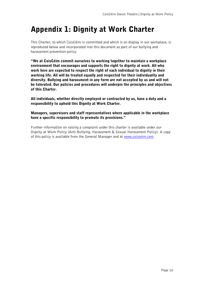## <span id="page-9-0"></span>Appendix 1: Dignity at Work Charter

This Charter, to which CoisCéim is committed and which is on display in our workplace, is reproduced below and incorporated into this document as part of our bullying and harassment prevention policy.

"We at CoisCéim commit ourselves to working together to maintain a workplace environment that encourages and supports the right to dignity at work. All who work here are expected to respect the right of each individual to dignity in their working life. All will be treated equally and respected for their individuality and diversity. Bullying and harassment in any form are not accepted by us and will not be tolerated. Our policies and procedures will underpin the principles and objectives of this Charter.

All individuals, whether directly employed or contracted by us, have a duty and a responsibility to uphold this Dignity at Work Charter.

#### Managers, supervisors and staff representatives where applicable in the workplace have a specific responsibility to promote its provisions."

Further information on raising a complaint under this charter is available under our Dignity at Work Policy (Anti-Bullying, Harassment & Sexual Harassment Policy). A copy of this policy is available from the General Manager and at [www.coisceim.com.](http://www.coisceim.com/)